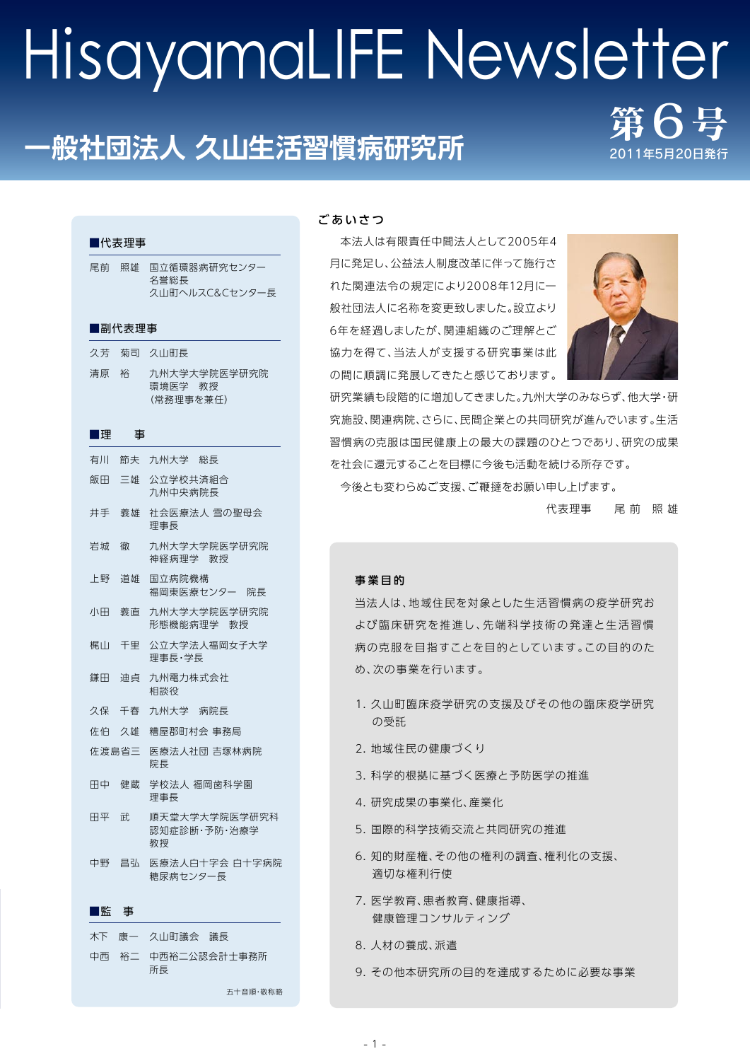# HisayamaLIFE Newsletter

## **一般社団法人 久山生活習慣病研究所**

第6 2011年5月20日8

#### ■代表理事

| 尾前     | - 照雄  | 国立循環器病研究センタ-<br>名誉総長<br>久山町へルスC&Cセンター長 |  |
|--------|-------|----------------------------------------|--|
| ■副代表理事 |       |                                        |  |
|        |       | 久芳 菊司 久山町長                             |  |
| 清原     | 裕     | 九州大学大学院医学研究院<br>環境医学 教授<br>(常務理事を兼任)   |  |
| ■理     | 事     |                                        |  |
|        | 有川 節夫 | 九州大学 総長                                |  |
| 飯田     | 三雄    | 公立学校共済組合<br>九州中央病院長                    |  |
| 井手     | 義雄    | 社会医療法人 雪の聖母会<br>理事長                    |  |
| 岩城     | 徹     | 九州大学大学院医学研究院<br>神経病理学 教授               |  |
| 上野     | 道雄    | 国立病院機構<br>福岡東医療センター 院長                 |  |
| 小田     | 義直    | 九州大学大学院医学研究院<br>形態機能病理学 教授             |  |
| 梶山     | 千里    | 公立大学法人福岡女子大学<br>理事長・学長                 |  |
| 鎌田     | 迪貞    | 九州電力株式会社<br>相談役                        |  |
| 久保     | 千春    | 九州大学 病院長                               |  |
| 佐伯     | 久雄    | 糟屋郡町村会 事務局                             |  |
| 佐渡島省三  |       | 医療法人社団 吉塚林病院<br>院長                     |  |
| 田中 健蔵  |       | 学校法人 福岡歯科学園<br>理事長                     |  |
| 田平     | 武     | 順天堂大学大学院医学研究科<br>認知症診断·予防·治療学<br>教授    |  |
| 中野 昌弘  |       | 医療法人白十字会 白十字病院<br>糖尿病センター長             |  |
| ■監 事   |       |                                        |  |
|        |       |                                        |  |

木下 康一 久山町議会 議長

所長

中西 裕二 中西裕二公認会計士事務所

#### ごあいさつ

本法人は有限責任中間法人として2005年4 月に発足し、公益法人制度改革に伴って施行さ れた関連法令の規定により2008年12月に一 般社団法人に名称を変更致しました。設立より 6年を経過しましたが、関連組織のご理解とご 協力を得て、当法人が支援する研究事業は此 の間に順調に発展してきたと感じております。



研究業績も段階的に増加してきました。九州大学のみならず、他大学・研 究施設、関連病院、さらに、民間企業との共同研究が進んでいます。生活 習慣病の克服は国民健康上の最大の課題のひとつであり、研究の成果 を社会に還元することを目標に今後も活動を続ける所存です。 今後とも変わらぬご支援、ご鞭撻をお願い申し上げます。

代表理事 尾 前 照 雄

#### 事業目的

当法人は、地域住民を対象とした生活習慣病の疫学研究お よび臨床研究を推進し、先端科学技術の発達と生活習慣 病の克服を目指すことを目的としています。この目的のた め、次の事業を行います。

- 1. 久山町臨床疫学研究の支援及びその他の臨床疫学研究 の受託
- 2. 地域住民の健康づくり
- 3. 科学的根拠に基づく医療と予防医学の推進
- 4. 研究成果の事業化、産業化
- 5. 国際的科学技術交流と共同研究の推進
- 6. 知的財産権、その他の権利の調査、権利化の支援、 適切な権利行使
- 7. 医学教育、患者教育、健康指導、 健康管理コンサルティング
- 8. 人材の養成、派遣
- 9. その他本研究所の目的を達成するために必要な事業

五十音順・敬称略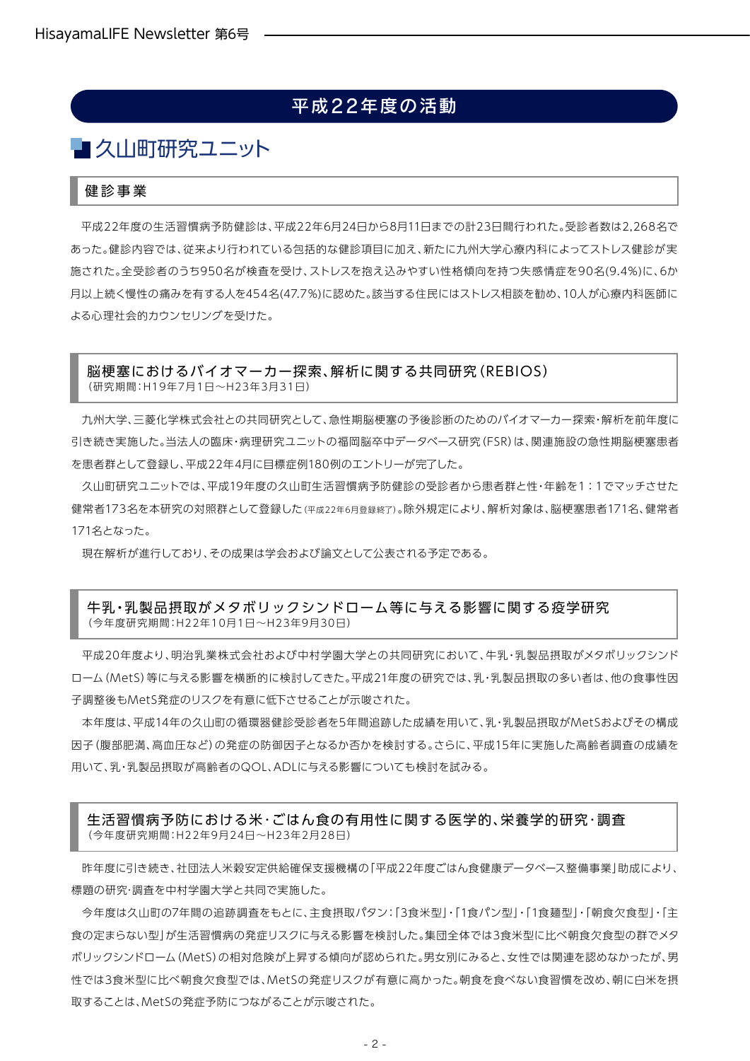### 平成22年度の活動

## ■久山町研究ユニット

#### 健診事業

平成22年度の生活習慣病予防健診は、平成22年6月24日から8月11日までの計23日間行われた。受診者数は2,268名で あった。健診内容では、従来より行われている包括的な健診項目に加え、新たに九州大学心療内科によってストレス健診が実 施された。全受診者のうち950名が検査を受け、ストレスを抱え込みやすい性格傾向を持つ失感情症を90名(9.4%)に、6か 月以上続く慢性の痛みを有する人を454名(47.7%)に認めた。該当する住民にはストレス相談を勧め、10人が心療内科医師に よる心理社会的カウンセリングを受けた。

#### 脳梗塞におけるバイオマーカー探索、解析に関する共同研究(REBIOS) (研究期間:H19年7月1日~H23年3月31日)

九州大学、三菱化学株式会社との共同研究として、急性期脳梗塞の予後診断のためのバイオマーカー探索・解析を前年度に 引き続き実施した。当法人の臨床・病理研究ユニットの福岡脳卒中データベース研究(FSR)は、関連施設の急性期脳梗塞患者 を患者群として登録し、平成22年4月に目標症例180例のエントリーが完了した。

久山町研究ユニットでは、平成19年度の久山町生活習慣病予防健診の受診者から患者群と性・年齢を1:1でマッチさせた 健常者173名を本研究の対照群として登録した(平成22年6月登録終了)。除外規定により、解析対象は、脳梗塞患者171名、健常者 171名となった。

現在解析が進行しており、その成果は学会および論文として公表される予定である。

#### 牛乳・乳製品摂取がメタボリックシンドローム等に与える影響に関する疫学研究 (今年度研究期間:H22年10月1日~H23年9月30日)

平成20年度より、明治乳業株式会社および中村学園大学との共同研究において、牛乳・乳製品摂取がメタボリックシンド ローム(MetS)等に与える影響を横断的に検討してきた。平成21年度の研究では、乳・乳製品摂取の多い者は、他の食事性因 子調整後もMetS発症のリスクを有意に低下させることが示唆された。

本年度は、平成14年の久山町の循環器健診受診者を5年間追跡した成績を用いて、乳・乳製品摂取がMetSおよびその構成 因子(腹部肥満、高血圧など)の発症の防御因子となるか否かを検討する。さらに、平成15年に実施した高齢者調査の成績を 用いて、乳・乳製品摂取が高齢者のQOL、ADLに与える影響についても検討を試みる。

#### 生活習慣病予防における米・ごはん食の有用性に関する医学的、栄養学的研究・調査 (今年度研究期間:H22年9月24日~H23年2月28日)

昨年度に引き続き、社団法人米穀安定供給確保支援機構の「平成22年度ごはん食健康データベース整備事業」助成により、 標題の研究・調査を中村学園大学と共同で実施した。

今年度は久山町の7年間の追跡調査をもとに、主食摂取パタン:「3食米型」・「1食パン型」・「1食麺型」・「朝食欠食型」・「主 食の定まらない型」が生活習慣病の発症リスクに与える影響を検討した。集団全体では3食米型に比べ朝食欠食型の群でメタ ボリックシンドローム(MetS)の相対危険が上昇する傾向が認められた。男女別にみると、女性では関連を認めなかったが、男 性では3食米型に比べ朝食欠食型では、MetSの発症リスクが有意に高かった。朝食を食べない食習慣を改め、朝に白米を摂 取することは、MetSの発症予防につながることが示唆された。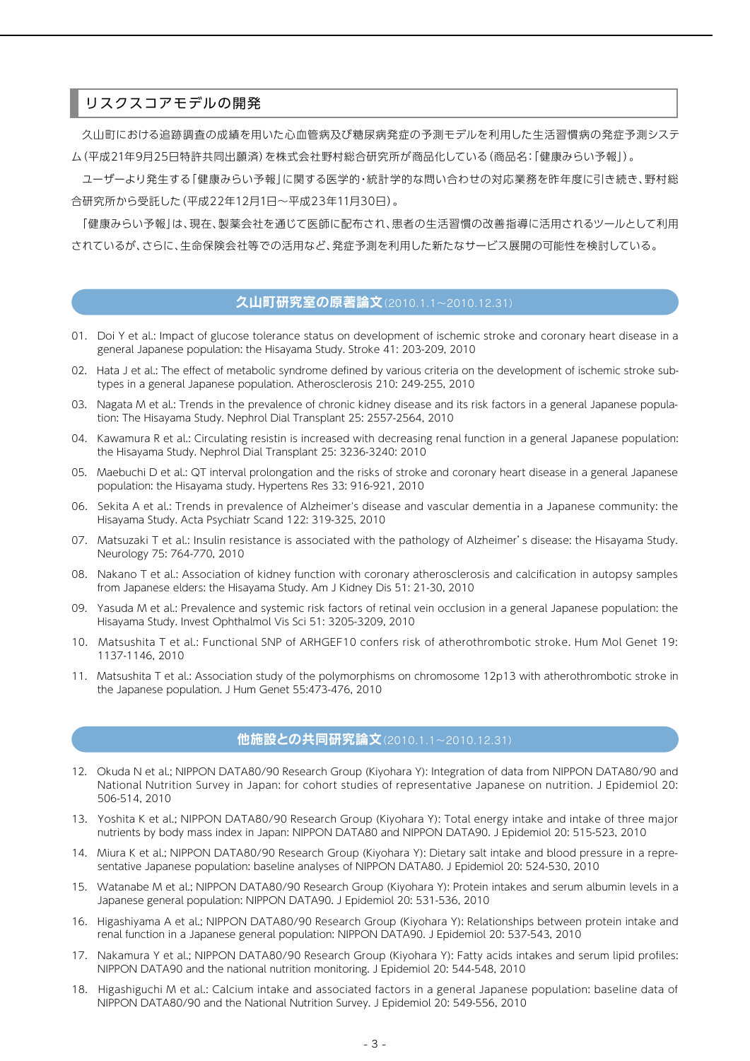#### 平成22年度の活動 リスクスコアモデルの開発

久山町における追跡調査の成績を用いた心血管病及び糖尿病発症の予測モデルを利用した生活習慣病の発症予測システ ム(平成21年9月25日特許共同出願済)を株式会社野村総合研究所が商品化している(商品名:「健康みらい予報」)。

ユーザーより発生する「健康みらい予報」に関する医学的・統計学的な問い合わせの対応業務を昨年度に引き続き、野村総 合研究所から受託した(平成22年12月1日~平成23年11月30日)。

「健康みらい予報」は、現在、製薬会社を通じて医師に配布され、患者の生活習慣の改善指導に活用されるツールとして利用 されているが、さらに、生命保険会社等での活用など、発症予測を利用した新たなサービス展開の可能性を検討している。

#### 久山町研究室の原著論文(2010.1.1~2010.12.31)

- 01. Doi Y et al.: Impact of glucose tolerance status on development of ischemic stroke and coronary heart disease in a general Japanese population: the Hisayama Study. Stroke 41: 203-209, 2010
- 02. Hata J et al.: The effect of metabolic syndrome defined by various criteria on the development of ischemic stroke subtypes in a general Japanese population. Atherosclerosis 210: 249-255, 2010
- 03. Nagata M et al.: Trends in the prevalence of chronic kidney disease and its risk factors in a general Japanese population: The Hisayama Study. Nephrol Dial Transplant 25: 2557-2564, 2010
- 04. Kawamura R et al.: Circulating resistin is increased with decreasing renal function in a general Japanese population: the Hisayama Study. Nephrol Dial Transplant 25: 3236-3240: 2010
- 05. Maebuchi D et al.: QT interval prolongation and the risks of stroke and coronary heart disease in a general Japanese population: the Hisayama study. Hypertens Res 33: 916-921, 2010
- 06. Sekita A et al.: Trends in prevalence of Alzheimer's disease and vascular dementia in a Japanese community: the Hisayama Study. Acta Psychiatr Scand 122: 319-325, 2010
- 07. Matsuzaki T et al.: Insulin resistance is associated with the pathology of Alzheimer's disease: the Hisayama Study. Neurology 75: 764-770, 2010
- 08. Nakano T et al.: Association of kidney function with coronary atherosclerosis and calcification in autopsy samples from Japanese elders: the Hisayama Study. Am J Kidney Dis 51: 21-30, 2010
- 09. Yasuda M et al.: Prevalence and systemic risk factors of retinal vein occlusion in a general Japanese population: the Hisayama Study. Invest Ophthalmol Vis Sci 51: 3205-3209, 2010
- 10. Matsushita T et al.: Functional SNP of ARHGEF10 confers risk of atherothrombotic stroke. Hum Mol Genet 19: 1137-1146, 2010
- 11. Matsushita T et al.: Association study of the polymorphisms on chromosome 12p13 with atherothrombotic stroke in the Japanese population. J Hum Genet 55:473-476, 2010

#### 他施設との共同研究論文(2010.1.1~2010.12.31)

- 12. Okuda N et al.; NIPPON DATA80/90 Research Group (Kiyohara Y): Integration of data from NIPPON DATA80/90 and National Nutrition Survey in Japan: for cohort studies of representative Japanese on nutrition. J Epidemiol 20: 506-514, 2010
- 13. Yoshita K et al.; NIPPON DATA80/90 Research Group (Kiyohara Y): Total energy intake and intake of three major nutrients by body mass index in Japan: NIPPON DATA80 and NIPPON DATA90. J Epidemiol 20: 515-523, 2010
- 14. Miura K et al.; NIPPON DATA80/90 Research Group (Kiyohara Y): Dietary salt intake and blood pressure in a representative Japanese population: baseline analyses of NIPPON DATA80. J Epidemiol 20: 524-530, 2010
- 15. Watanabe M et al.; NIPPON DATA80/90 Research Group (Kiyohara Y): Protein intakes and serum albumin levels in a Japanese general population: NIPPON DATA90. J Epidemiol 20: 531-536, 2010
- 16. Higashiyama A et al.; NIPPON DATA80/90 Research Group (Kiyohara Y): Relationships between protein intake and renal function in a Japanese general population: NIPPON DATA90. J Epidemiol 20: 537-543, 2010
- 17. Nakamura Y et al.; NIPPON DATA80/90 Research Group (Kiyohara Y): Fatty acids intakes and serum lipid profiles: NIPPON DATA90 and the national nutrition monitoring. J Epidemiol 20: 544-548, 2010
- 18. Higashiguchi M et al.: Calcium intake and associated factors in a general Japanese population: baseline data of NIPPON DATA80/90 and the National Nutrition Survey. J Epidemiol 20: 549-556, 2010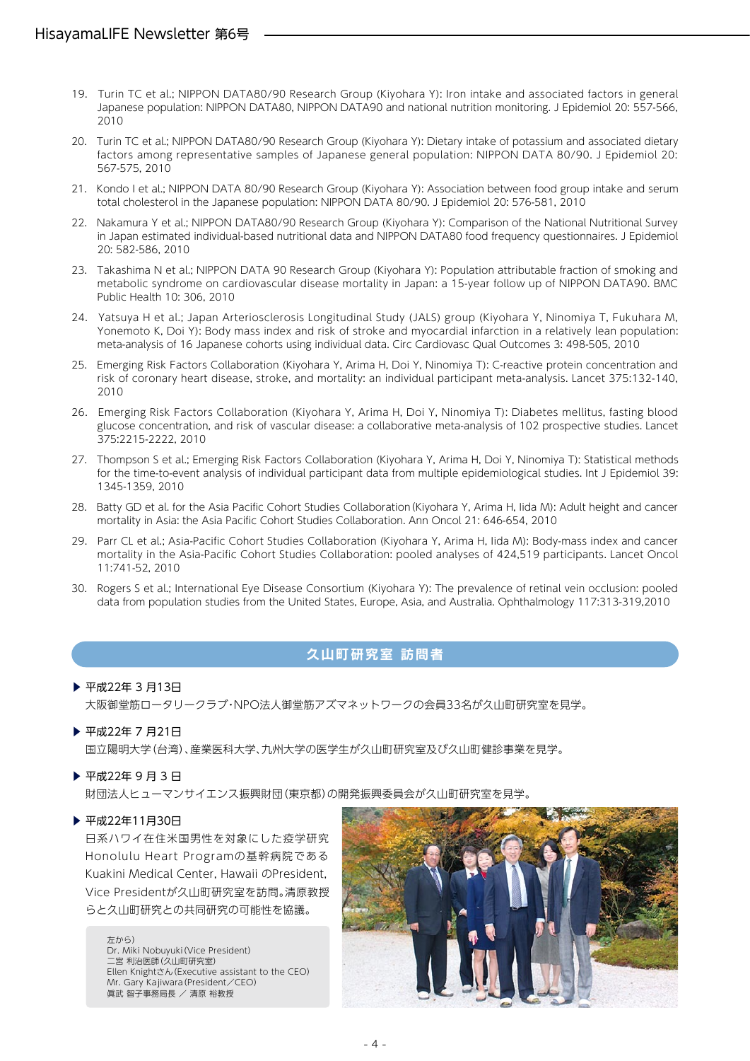- 19. Turin TC et al.; NIPPON DATA80/90 Research Group (Kiyohara Y): Iron intake and associated factors in general Japanese population: NIPPON DATA80, NIPPON DATA90 and national nutrition monitoring. J Epidemiol 20: 557-566, 2010
- 20. Turin TC et al.; NIPPON DATA80/90 Research Group (Kiyohara Y): Dietary intake of potassium and associated dietary factors among representative samples of Japanese general population: NIPPON DATA 80/90. J Epidemiol 20: 567-575, 2010
- 21. Kondo I et al.; NIPPON DATA 80/90 Research Group (Kiyohara Y): Association between food group intake and serum total cholesterol in the Japanese population: NIPPON DATA 80/90. J Epidemiol 20: 576-581, 2010
- 22. Nakamura Y et al.; NIPPON DATA80/90 Research Group (Kiyohara Y): Comparison of the National Nutritional Survey in Japan estimated individual-based nutritional data and NIPPON DATA80 food frequency questionnaires. J Epidemiol 20: 582-586, 2010
- 23. Takashima N et al.; NIPPON DATA 90 Research Group (Kiyohara Y): Population attributable fraction of smoking and metabolic syndrome on cardiovascular disease mortality in Japan: a 15-year follow up of NIPPON DATA90. BMC Public Health 10: 306, 2010
- 24. Yatsuya H et al.; Japan Arteriosclerosis Longitudinal Study (JALS) group (Kiyohara Y, Ninomiya T, Fukuhara M, Yonemoto K, Doi Y): Body mass index and risk of stroke and myocardial infarction in a relatively lean population: meta-analysis of 16 Japanese cohorts using individual data. Circ Cardiovasc Qual Outcomes 3: 498-505, 2010
- 25. Emerging Risk Factors Collaboration (Kiyohara Y, Arima H, Doi Y, Ninomiya T): C-reactive protein concentration and risk of coronary heart disease, stroke, and mortality: an individual participant meta-analysis. Lancet 375:132-140, 2010
- 26. Emerging Risk Factors Collaboration (Kiyohara Y, Arima H, Doi Y, Ninomiya T): Diabetes mellitus, fasting blood glucose concentration, and risk of vascular disease: a collaborative meta-analysis of 102 prospective studies. Lancet 375:2215-2222, 2010
- 27. Thompson S et al.; Emerging Risk Factors Collaboration (Kiyohara Y, Arima H, Doi Y, Ninomiya T): Statistical methods for the time-to-event analysis of individual participant data from multiple epidemiological studies. Int J Epidemiol 39: 1345-1359, 2010
- 28. Batty GD et al. for the Asia Pacific Cohort Studies Collaboration(Kiyohara Y, Arima H, Iida M): Adult height and cancer mortality in Asia: the Asia Pacific Cohort Studies Collaboration. Ann Oncol 21: 646-654, 2010
- 29. Parr CL et al.; Asia-Pacific Cohort Studies Collaboration (Kiyohara Y, Arima H, Iida M): Body-mass index and cancer mortality in the Asia-Pacific Cohort Studies Collaboration: pooled analyses of 424,519 participants. Lancet Oncol 11:741-52, 2010
- 30. Rogers S et al.; International Eye Disease Consortium (Kiyohara Y): The prevalence of retinal vein occlusion: pooled data from population studies from the United States, Europe, Asia, and Australia. Ophthalmology 117:313-319,2010

#### 久山町研究室 訪問者

- ▶ 平成22年 3 月13日 大阪御堂筋ロータリークラブ・NPO法人御堂筋アズマネットワークの会員33名が久山町研究室を見学。
- ▶ 平成22年 7 月21日

国立陽明大学(台湾)、産業医科大学、九州大学の医学生が久山町研究室及び久山町健診事業を見学。

▶ 平成22年 9 月 3 日

財団法人ヒューマンサイエンス振興財団(東京都)の開発振興委員会が久山町研究室を見学。

#### ▶ 平成22年11月30日

日系ハワイ在住米国男性を対象にした疫学研究 Honolulu Heart Programの基幹病院である Kuakini Medical Center, Hawaii のPresident, Vice Presidentが久山町研究室を訪問。清原教授 らと久山町研究との共同研究の可能性を協議。



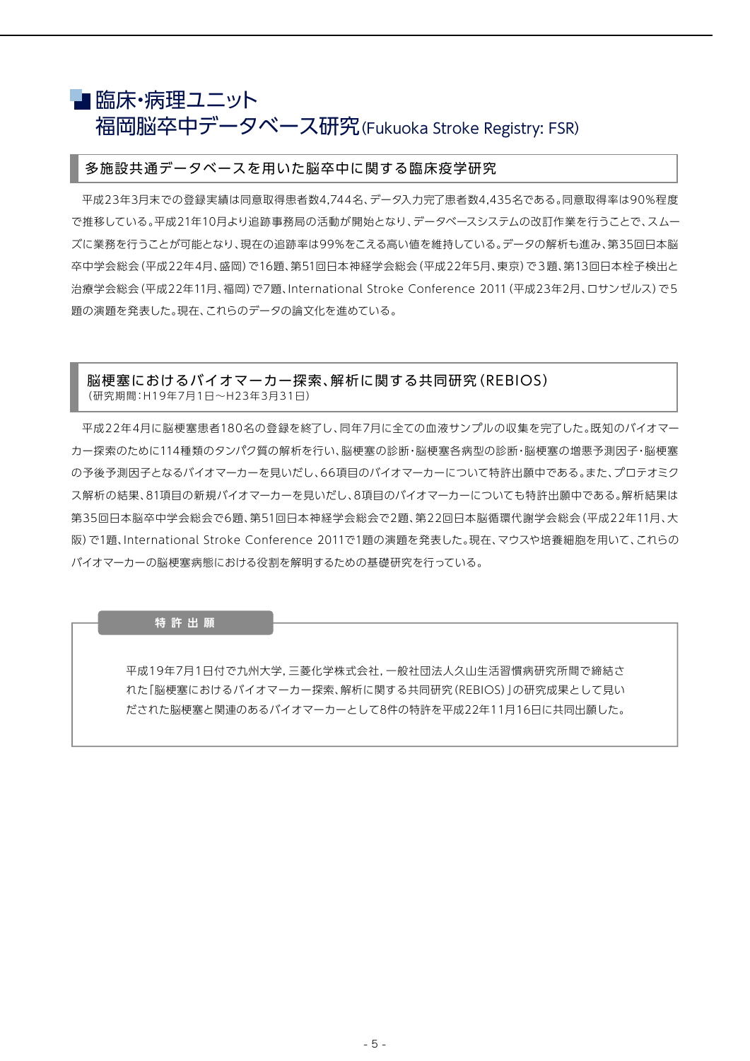## ■ 臨床・病理ユニット 福岡脳卒中データベース研究(Fukuoka Stroke Registry: FSR)

#### 多施設共通データベースを用いた脳卒中に関する臨床疫学研究

平成23年3月末での登録実績は同意取得患者数4,744名、データ入力完了患者数4,435名である。同意取得率は90%程度 で推移している。平成21年10月より追跡事務局の活動が開始となり、データベースシステムの改訂作業を行うことで、スムー ズに業務を行うことが可能となり、現在の追跡率は99%をこえる高い値を維持している。データの解析も進み、第35回日本脳 卒中学会総会(平成22年4月、盛岡)で16題、第51回日本神経学会総会(平成22年5月、東京)で3題、第13回日本栓子検出と 治療学会総会(平成22年11月、福岡)で7題、International Stroke Conference 2011(平成23年2月、ロサンゼルス)で5 題の演題を発表した。現在、これらのデータの論文化を進めている。

#### 脳梗塞におけるバイオマーカー探索、解析に関する共同研究(REBIOS) (研究期間:H19年7月1日~H23年3月31日)

平成22年4月に脳梗塞患者180名の登録を終了し、同年7月に全ての血液サンプルの収集を完了した。既知のバイオマー カー探索のために114種類のタンパク質の解析を行い、脳梗塞の診断・脳梗塞各病型の診断・脳梗塞の増悪予測因子・脳梗塞 の予後予測因子となるバイオマーカーを見いだし、66項目のバイオマーカーについて特許出願中である。また、プロテオミク ス解析の結果、81項目の新規バイオマーカーを見いだし、8項目のバイオマーカーについても特許出願中である。解析結果は 第35回日本脳卒中学会総会で6題、第51回日本神経学会総会で2題、第22回日本脳循環代謝学会総会(平成22年11月、大 阪)で1題、International Stroke Conference 2011で1題の演題を発表した。現在、マウスや培養細胞を用いて、これらの バイオマーカーの脳梗塞病態における役割を解明するための基礎研究を行っている。

#### **特許出願**

平成19年7月1日付で九州大学,三菱化学株式会社,一般社団法人久山生活習慣病研究所間で締結さ れた「脳梗塞におけるバイオマーカー探索、解析に関する共同研究(REBIOS)」の研究成果として見い だされた脳梗塞と関連のあるバイオマーカーとして8件の特許を平成22年11月16日に共同出願した。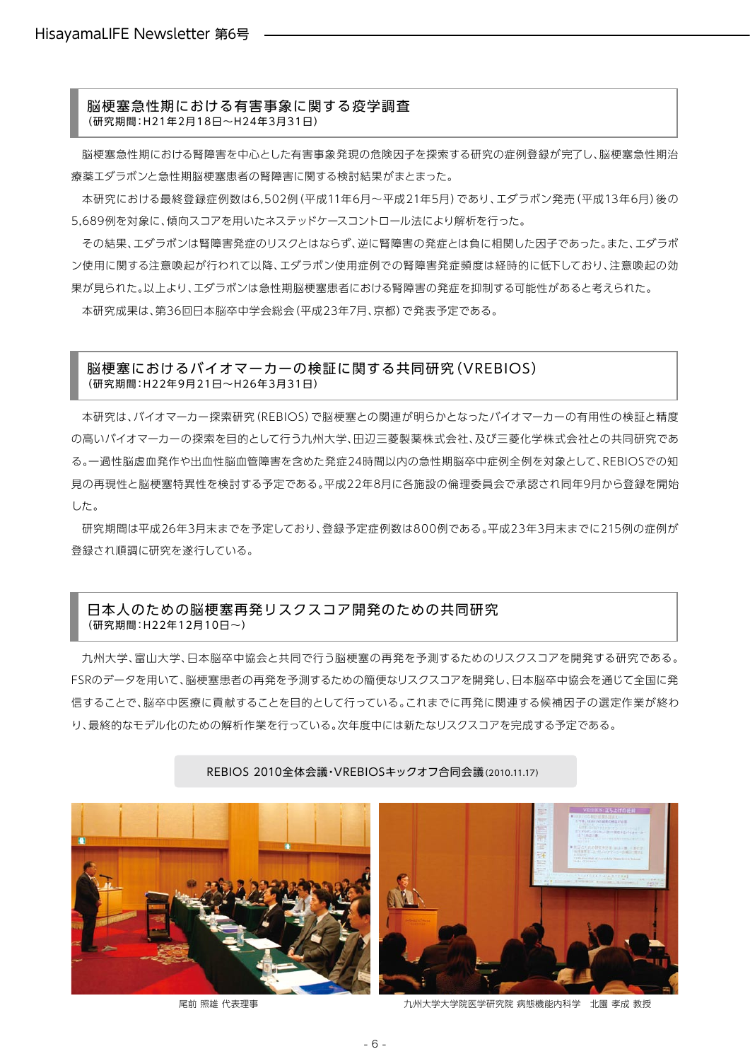#### 脳梗塞急性期における有害事象に関する疫学調査 (研究期間:H21年2月18日~H24年3月31日)

脳梗塞急性期における腎障害を中心とした有害事象発現の危険因子を探索する研究の症例登録が完了し、脳梗塞急性期治 療薬エダラボンと急性期脳梗塞患者の腎障害に関する検討結果がまとまった。

本研究における最終登録症例数は6,502例(平成11年6月~平成21年5月)であり、エダラボン発売(平成13年6月)後の 5,689例を対象に、傾向スコアを用いたネステッドケースコントロール法により解析を行った。

その結果、エダラボンは腎障害発症のリスクとはならず、逆に腎障害の発症とは負に相関した因子であった。また、エダラボ ン使用に関する注意喚起が行われて以降、エダラボン使用症例での腎障害発症頻度は経時的に低下しており、注意喚起の効 果が見られた。以上より、エダラボンは急性期脳梗塞患者における腎障害の発症を抑制する可能性があると考えられた。 本研究成果は、第36回日本脳卒中学会総会(平成23年7月、京都)で発表予定である。

#### 脳梗塞におけるバイオマーカーの検証に関する共同研究(VREBIOS) (研究期間:H22年9月21日~H26年3月31日)

本研究は、バイオマーカー探索研究(REBIOS)で脳梗塞との関連が明らかとなったバイオマーカーの有用性の検証と精度 の高いバイオマーカーの探索を目的として行う九州大学、田辺三菱製薬株式会社、及び三菱化学株式会社との共同研究であ る。一過性脳虚血発作や出血性脳血管障害を含めた発症24時間以内の急性期脳卒中症例全例を対象として、REBIOSでの知 見の再現性と脳梗塞特異性を検討する予定である。平成22年8月に各施設の倫理委員会で承認され同年9月から登録を開始 した。

研究期間は平成26年3月末までを予定しており、登録予定症例数は800例である。平成23年3月末までに215例の症例が 登録され順調に研究を遂行している。

#### 日本人のための脳梗塞再発リスクスコア開発のための共同研究 (研究期間:H22年12月10日~)

九州大学、富山大学、日本脳卒中協会と共同で行う脳梗塞の再発を予測するためのリスクスコアを開発する研究である。 FSRのデータを用いて、脳梗塞患者の再発を予測するための簡便なリスクスコアを開発し、日本脳卒中協会を通じて全国に発 信することで、脳卒中医療に貢献することを目的として行っている。これまでに再発に関連する候補因子の選定作業が終わ り、最終的なモデル化のための解析作業を行っている。次年度中には新たなリスクスコアを完成する予定である。



REBIOS 2010全体会議・VREBIOSキックオフ合同会議(2010.11.17)



尾前 照雄 代表理事 インスタン インストリング こうしょう こうしゅう こうしゅく おくさん おおくちょう 北園 孝成 教授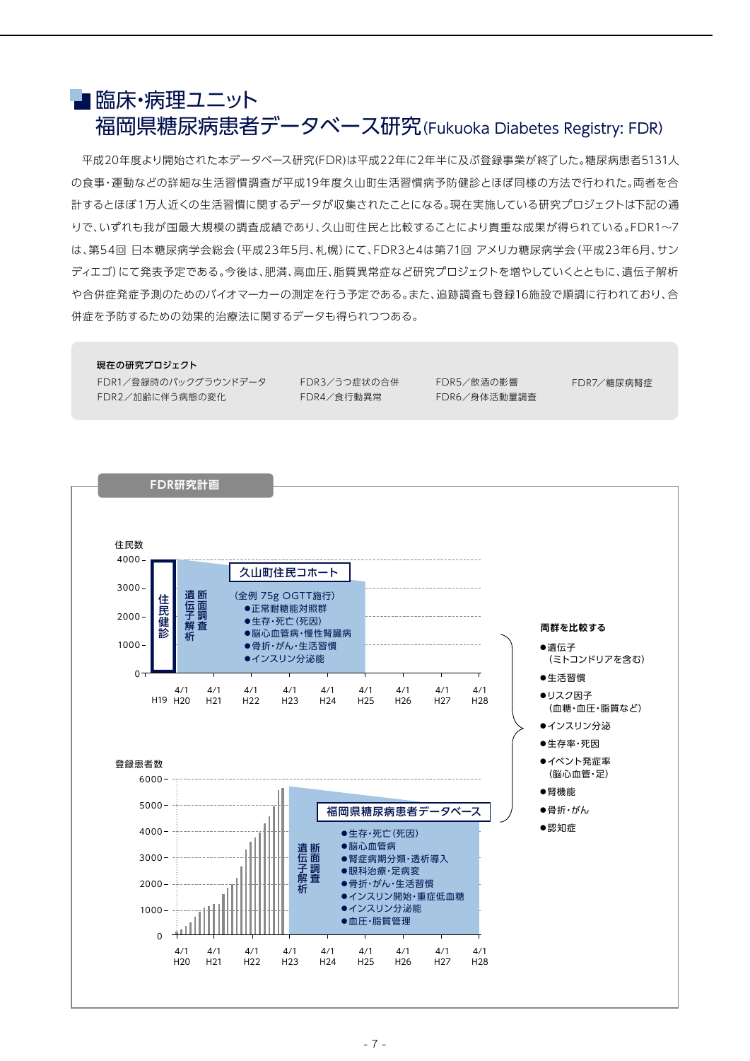## ■臨床・病理ユニット 福岡県糖尿病患者データベース研究(Fukuoka Diabetes Registry: FDR)

平成20年度より開始された本データベース研究(FDR)は平成22年に2年半に及ぶ登録事業が終了した。糖尿病患者5131人 の食事・運動などの詳細な生活習慣調査が平成19年度久山町生活習慣病予防健診とほぼ同様の方法で行われた。両者を合 計するとほぼ1万人近くの生活習慣に関するデータが収集されたことになる。現在実施している研究プロジェクトは下記の通 りで、いずれも我が国最大規模の調査成績であり、久山町住民と比較することにより貴重な成果が得られている。FDR1~7 は、第54回 日本糖尿病学会総会(平成23年5月、札幌)にて、FDR3と4は第71回 アメリカ糖尿病学会(平成23年6月、サン ディエゴ)にて発表予定である。今後は、肥満、高血圧、脂質異常症など研究プロジェクトを増やしていくとともに、遺伝子解析 や合併症発症予測のためのバイオマーカーの測定を行う予定である。また、追跡調査も登録16施設で順調に行われており、合 併症を予防するための効果的治療法に関するデータも得られつつある。

現在の研究プロジェクト

FDR1/登録時のバックグラウンドデータ FDR2/加齢に伴う病態の変化

FDR3/うつ症状の合併 FDR4/食行動異常

FDR5/飲酒の影響 FDR6/身体活動量調査 FDR7/糖尿病腎症